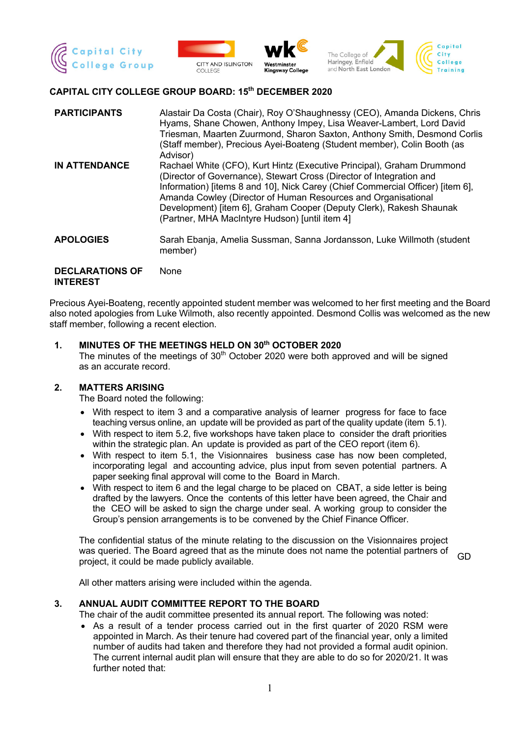







# **CAPITAL CITY COLLEGE GROUP BOARD: 15th DECEMBER 2020**

| <b>PARTICIPANTS</b>  | Alastair Da Costa (Chair), Roy O'Shaughnessy (CEO), Amanda Dickens, Chris<br>Hyams, Shane Chowen, Anthony Impey, Lisa Weaver-Lambert, Lord David<br>Triesman, Maarten Zuurmond, Sharon Saxton, Anthony Smith, Desmond Corlis<br>(Staff member), Precious Ayei-Boateng (Student member), Colin Booth (as<br>Advisor)                                                                                                        |
|----------------------|----------------------------------------------------------------------------------------------------------------------------------------------------------------------------------------------------------------------------------------------------------------------------------------------------------------------------------------------------------------------------------------------------------------------------|
| <b>IN ATTENDANCE</b> | Rachael White (CFO), Kurt Hintz (Executive Principal), Graham Drummond<br>(Director of Governance), Stewart Cross (Director of Integration and<br>Information) [items 8 and 10], Nick Carey (Chief Commercial Officer) [item 6],<br>Amanda Cowley (Director of Human Resources and Organisational<br>Development) [item 6], Graham Cooper (Deputy Clerk), Rakesh Shaunak<br>(Partner, MHA MacIntyre Hudson) [until item 4] |
| <b>APOLOGIES</b>     | Sarah Ebanja, Amelia Sussman, Sanna Jordansson, Luke Willmoth (student<br>member)                                                                                                                                                                                                                                                                                                                                          |
| BEAL ABATIANA AF     | <b>A I</b> – . – –                                                                                                                                                                                                                                                                                                                                                                                                         |

#### **DECLARATIONS OF INTEREST** None

Precious Ayei-Boateng, recently appointed student member was welcomed to her first meeting and the Board also noted apologies from Luke Wilmoth, also recently appointed. Desmond Collis was welcomed as the new staff member, following a recent election.

# **1. MINUTES OF THE MEETINGS HELD ON 30th OCTOBER 2020**

The minutes of the meetings of  $30<sup>th</sup>$  October 2020 were both approved and will be signed as an accurate record.

# **2. MATTERS ARISING**

The Board noted the following:

- With respect to item 3 and a comparative analysis of learner progress for face to face teaching versus online, an update will be provided as part of the quality update (item 5.1).
- With respect to item 5.2, five workshops have taken place to consider the draft priorities within the strategic plan. An update is provided as part of the CEO report (item 6).
- With respect to item 5.1, the Visionnaires business case has now been completed, incorporating legal and accounting advice, plus input from seven potential partners. A paper seeking final approval will come to the Board in March.
- With respect to item 6 and the legal charge to be placed on CBAT, a side letter is being drafted by the lawyers. Once the contents of this letter have been agreed, the Chair and the CEO will be asked to sign the charge under seal. A working group to consider the Group's pension arrangements is to be convened by the Chief Finance Officer.

The confidential status of the minute relating to the discussion on the Visionnaires project was queried. The Board agreed that as the minute does not name the potential partners of project, it could be made publicly available.

GD

All other matters arising were included within the agenda.

# **3. ANNUAL AUDIT COMMITTEE REPORT TO THE BOARD**

The chair of the audit committee presented its annual report. The following was noted:

• As a result of a tender process carried out in the first quarter of 2020 RSM were appointed in March. As their tenure had covered part of the financial year, only a limited number of audits had taken and therefore they had not provided a formal audit opinion. The current internal audit plan will ensure that they are able to do so for 2020/21. It was further noted that: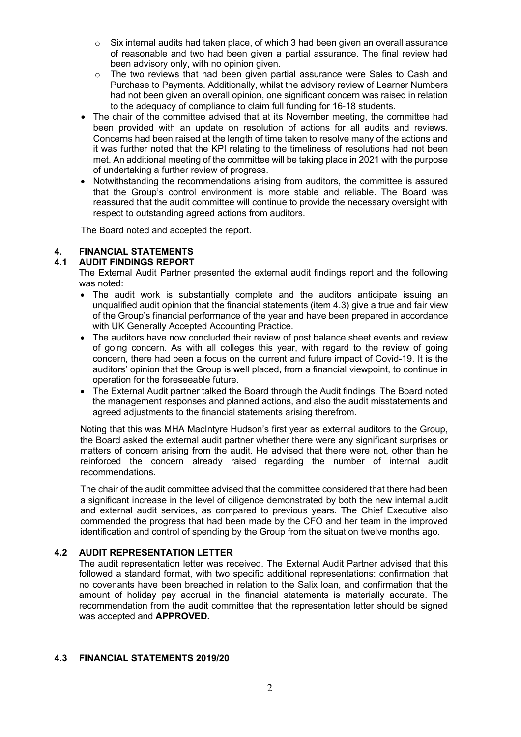- o Six internal audits had taken place, of which 3 had been given an overall assurance of reasonable and two had been given a partial assurance. The final review had been advisory only, with no opinion given.
- $\circ$  The two reviews that had been given partial assurance were Sales to Cash and Purchase to Payments. Additionally, whilst the advisory review of Learner Numbers had not been given an overall opinion, one significant concern was raised in relation to the adequacy of compliance to claim full funding for 16-18 students.
- The chair of the committee advised that at its November meeting, the committee had been provided with an update on resolution of actions for all audits and reviews. Concerns had been raised at the length of time taken to resolve many of the actions and it was further noted that the KPI relating to the timeliness of resolutions had not been met. An additional meeting of the committee will be taking place in 2021 with the purpose of undertaking a further review of progress.
- Notwithstanding the recommendations arising from auditors, the committee is assured that the Group's control environment is more stable and reliable. The Board was reassured that the audit committee will continue to provide the necessary oversight with respect to outstanding agreed actions from auditors.

The Board noted and accepted the report.

# **4. FINANCIAL STATEMENTS**

# **4.1 AUDIT FINDINGS REPORT**

The External Audit Partner presented the external audit findings report and the following was noted:

- The audit work is substantially complete and the auditors anticipate issuing an unqualified audit opinion that the financial statements (item 4.3) give a true and fair view of the Group's financial performance of the year and have been prepared in accordance with UK Generally Accepted Accounting Practice.
- The auditors have now concluded their review of post balance sheet events and review of going concern. As with all colleges this year, with regard to the review of going concern, there had been a focus on the current and future impact of Covid-19. It is the auditors' opinion that the Group is well placed, from a financial viewpoint, to continue in operation for the foreseeable future.
- The External Audit partner talked the Board through the Audit findings. The Board noted the management responses and planned actions, and also the audit misstatements and agreed adjustments to the financial statements arising therefrom.

Noting that this was MHA MacIntyre Hudson's first year as external auditors to the Group, the Board asked the external audit partner whether there were any significant surprises or matters of concern arising from the audit. He advised that there were not, other than he reinforced the concern already raised regarding the number of internal audit recommendations.

The chair of the audit committee advised that the committee considered that there had been a significant increase in the level of diligence demonstrated by both the new internal audit and external audit services, as compared to previous years. The Chief Executive also commended the progress that had been made by the CFO and her team in the improved identification and control of spending by the Group from the situation twelve months ago.

# **4.2 AUDIT REPRESENTATION LETTER**

The audit representation letter was received. The External Audit Partner advised that this followed a standard format, with two specific additional representations: confirmation that no covenants have been breached in relation to the Salix loan, and confirmation that the amount of holiday pay accrual in the financial statements is materially accurate. The recommendation from the audit committee that the representation letter should be signed was accepted and **APPROVED.**

# **4.3 FINANCIAL STATEMENTS 2019/20**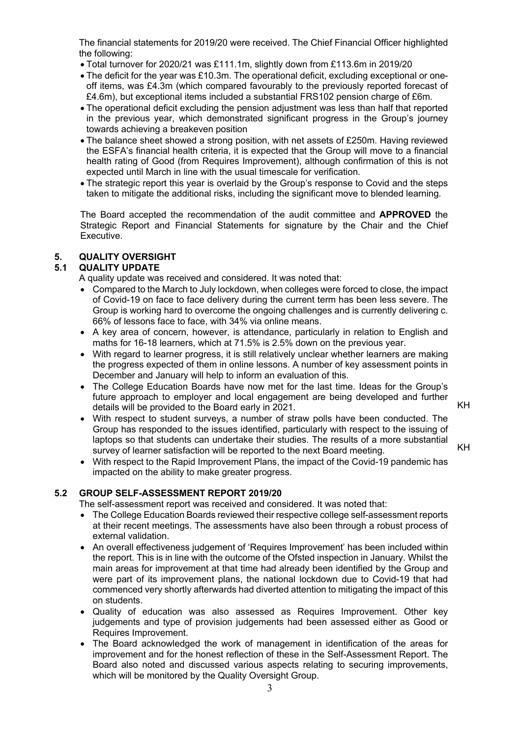The financial statements for 2019/20 were received. The Chief Financial Officer highlighted the following:

- Total turnover for 2020/21 was £111.1m, slightly down from £113.6m in 2019/20
- The deficit for the year was £10.3m. The operational deficit, excluding exceptional or oneoff items, was £4.3m (which compared favourably to the previously reported forecast of £4.6m), but exceptional items included a substantial FRS102 pension charge of £6m.
- The operational deficit excluding the pension adjustment was less than half that reported in the previous year, which demonstrated significant progress in the Group's journey towards achieving a breakeven position
- The balance sheet showed a strong position, with net assets of £250m. Having reviewed the ESFA's financial health criteria, it is expected that the Group will move to a financial health rating of Good (from Requires Improvement), although confirmation of this is not expected until March in line with the usual timescale for verification.
- The strategic report this year is overlaid by the Group's response to Covid and the steps taken to mitigate the additional risks, including the significant move to blended learning.

The Board accepted the recommendation of the audit committee and **APPROVED** the Strategic Report and Financial Statements for signature by the Chair and the Chief Executive.

# **5. QUALITY OVERSIGHT**

# **5.1 QUALITY UPDATE**

A quality update was received and considered. It was noted that:

- Compared to the March to July lockdown, when colleges were forced to close, the impact of Covid-19 on face to face delivery during the current term has been less severe. The Group is working hard to overcome the ongoing challenges and is currently delivering c. 66% of lessons face to face, with 34% via online means.
- A key area of concern, however, is attendance, particularly in relation to English and maths for 16-18 learners, which at 71.5% is 2.5% down on the previous year.
- With regard to learner progress, it is still relatively unclear whether learners are making the progress expected of them in online lessons. A number of key assessment points in December and January will help to inform an evaluation of this.
- The College Education Boards have now met for the last time. Ideas for the Group's future approach to employer and local engagement are being developed and further details will be provided to the Board early in 2021.

KH

KH

- With respect to student surveys, a number of straw polls have been conducted. The Group has responded to the issues identified, particularly with respect to the issuing of laptops so that students can undertake their studies. The results of a more substantial survey of learner satisfaction will be reported to the next Board meeting.
- With respect to the Rapid Improvement Plans, the impact of the Covid-19 pandemic has impacted on the ability to make greater progress.

# **5.2 GROUP SELF-ASSESSMENT REPORT 2019/20**

The self-assessment report was received and considered. It was noted that:

- The College Education Boards reviewed their respective college self-assessment reports at their recent meetings. The assessments have also been through a robust process of external validation.
- An overall effectiveness judgement of 'Requires Improvement' has been included within the report. This is in line with the outcome of the Ofsted inspection in January. Whilst the main areas for improvement at that time had already been identified by the Group and were part of its improvement plans, the national lockdown due to Covid-19 that had commenced very shortly afterwards had diverted attention to mitigating the impact of this on students.
- Quality of education was also assessed as Requires Improvement. Other key judgements and type of provision judgements had been assessed either as Good or Requires Improvement.
- The Board acknowledged the work of management in identification of the areas for improvement and for the honest reflection of these in the Self-Assessment Report. The Board also noted and discussed various aspects relating to securing improvements, which will be monitored by the Quality Oversight Group.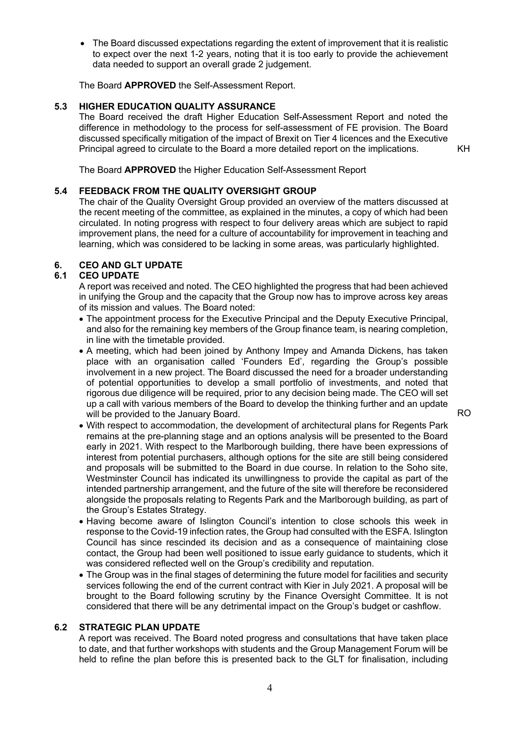• The Board discussed expectations regarding the extent of improvement that it is realistic to expect over the next 1-2 years, noting that it is too early to provide the achievement data needed to support an overall grade 2 judgement.

The Board **APPROVED** the Self-Assessment Report.

# **5.3 HIGHER EDUCATION QUALITY ASSURANCE**

The Board received the draft Higher Education Self-Assessment Report and noted the difference in methodology to the process for self-assessment of FE provision. The Board discussed specifically mitigation of the impact of Brexit on Tier 4 licences and the Executive Principal agreed to circulate to the Board a more detailed report on the implications.

KH

The Board **APPROVED** the Higher Education Self-Assessment Report

# **5.4 FEEDBACK FROM THE QUALITY OVERSIGHT GROUP**

The chair of the Quality Oversight Group provided an overview of the matters discussed at the recent meeting of the committee, as explained in the minutes, a copy of which had been circulated. In noting progress with respect to four delivery areas which are subject to rapid improvement plans, the need for a culture of accountability for improvement in teaching and learning, which was considered to be lacking in some areas, was particularly highlighted.

# **6. CEO AND GLT UPDATE**

# **6.1 CEO UPDATE**

A report was received and noted. The CEO highlighted the progress that had been achieved in unifying the Group and the capacity that the Group now has to improve across key areas of its mission and values. The Board noted:

- The appointment process for the Executive Principal and the Deputy Executive Principal, and also for the remaining key members of the Group finance team, is nearing completion, in line with the timetable provided.
- A meeting, which had been joined by Anthony Impey and Amanda Dickens, has taken place with an organisation called 'Founders Ed', regarding the Group's possible involvement in a new project. The Board discussed the need for a broader understanding of potential opportunities to develop a small portfolio of investments, and noted that rigorous due diligence will be required, prior to any decision being made. The CEO will set up a call with various members of the Board to develop the thinking further and an update will be provided to the January Board.

RO

- With respect to accommodation, the development of architectural plans for Regents Park remains at the pre-planning stage and an options analysis will be presented to the Board early in 2021. With respect to the Marlborough building, there have been expressions of interest from potential purchasers, although options for the site are still being considered and proposals will be submitted to the Board in due course. In relation to the Soho site, Westminster Council has indicated its unwillingness to provide the capital as part of the intended partnership arrangement, and the future of the site will therefore be reconsidered alongside the proposals relating to Regents Park and the Marlborough building, as part of the Group's Estates Strategy.
- Having become aware of Islington Council's intention to close schools this week in response to the Covid-19 infection rates, the Group had consulted with the ESFA. Islington Council has since rescinded its decision and as a consequence of maintaining close contact, the Group had been well positioned to issue early guidance to students, which it was considered reflected well on the Group's credibility and reputation.
- The Group was in the final stages of determining the future model for facilities and security services following the end of the current contract with Kier in July 2021. A proposal will be brought to the Board following scrutiny by the Finance Oversight Committee. It is not considered that there will be any detrimental impact on the Group's budget or cashflow.

# **6.2 STRATEGIC PLAN UPDATE**

A report was received. The Board noted progress and consultations that have taken place to date, and that further workshops with students and the Group Management Forum will be held to refine the plan before this is presented back to the GLT for finalisation, including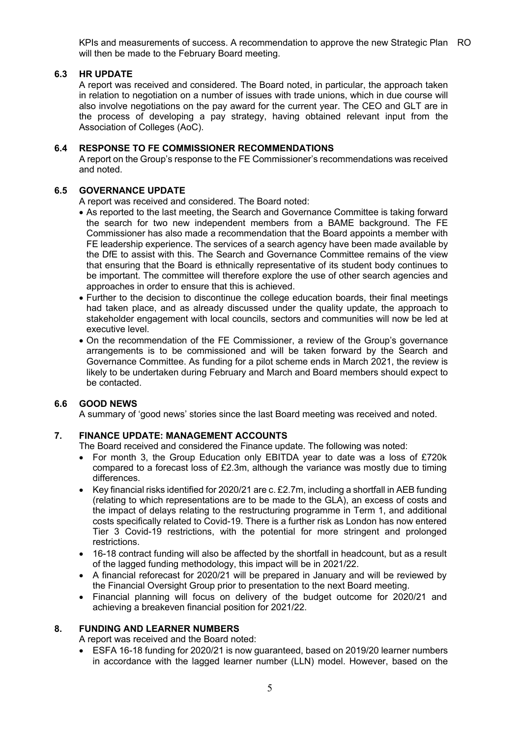KPIs and measurements of success. A recommendation to approve the new Strategic Plan RO will then be made to the February Board meeting.

# **6.3 HR UPDATE**

A report was received and considered. The Board noted, in particular, the approach taken in relation to negotiation on a number of issues with trade unions, which in due course will also involve negotiations on the pay award for the current year. The CEO and GLT are in the process of developing a pay strategy, having obtained relevant input from the Association of Colleges (AoC).

# **6.4 RESPONSE TO FE COMMISSIONER RECOMMENDATIONS**

A report on the Group's response to the FE Commissioner's recommendations was received and noted.

# **6.5 GOVERNANCE UPDATE**

A report was received and considered. The Board noted:

- As reported to the last meeting, the Search and Governance Committee is taking forward the search for two new independent members from a BAME background. The FE Commissioner has also made a recommendation that the Board appoints a member with FE leadership experience. The services of a search agency have been made available by the DfE to assist with this. The Search and Governance Committee remains of the view that ensuring that the Board is ethnically representative of its student body continues to be important. The committee will therefore explore the use of other search agencies and approaches in order to ensure that this is achieved.
- Further to the decision to discontinue the college education boards, their final meetings had taken place, and as already discussed under the quality update, the approach to stakeholder engagement with local councils, sectors and communities will now be led at executive level.
- On the recommendation of the FE Commissioner, a review of the Group's governance arrangements is to be commissioned and will be taken forward by the Search and Governance Committee. As funding for a pilot scheme ends in March 2021, the review is likely to be undertaken during February and March and Board members should expect to be contacted.

# **6.6 GOOD NEWS**

A summary of 'good news' stories since the last Board meeting was received and noted.

# **7. FINANCE UPDATE: MANAGEMENT ACCOUNTS**

The Board received and considered the Finance update. The following was noted:

- For month 3, the Group Education only EBITDA year to date was a loss of £720k compared to a forecast loss of  $£2.3m$ , although the variance was mostly due to timing differences.
- Key financial risks identified for 2020/21 are c.  $£2.7m$ , including a shortfall in AEB funding (relating to which representations are to be made to the GLA), an excess of costs and the impact of delays relating to the restructuring programme in Term 1, and additional costs specifically related to Covid-19. There is a further risk as London has now entered Tier 3 Covid-19 restrictions, with the potential for more stringent and prolonged restrictions.
- 16-18 contract funding will also be affected by the shortfall in headcount, but as a result of the lagged funding methodology, this impact will be in 2021/22.
- A financial reforecast for 2020/21 will be prepared in January and will be reviewed by the Financial Oversight Group prior to presentation to the next Board meeting.
- Financial planning will focus on delivery of the budget outcome for 2020/21 and achieving a breakeven financial position for 2021/22.

#### **8. FUNDING AND LEARNER NUMBERS**

A report was received and the Board noted:

• ESFA 16-18 funding for 2020/21 is now guaranteed, based on 2019/20 learner numbers in accordance with the lagged learner number (LLN) model. However, based on the